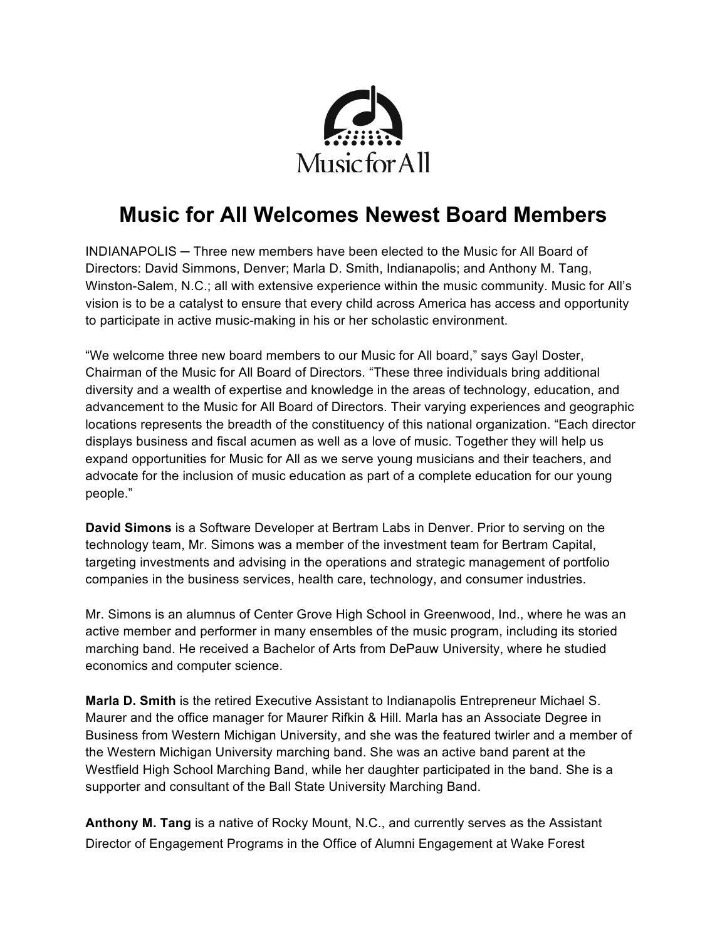

## **Music for All Welcomes Newest Board Members**

INDIANAPOLIS ─ Three new members have been elected to the Music for All Board of Directors: David Simmons, Denver; Marla D. Smith, Indianapolis; and Anthony M. Tang, Winston-Salem, N.C.; all with extensive experience within the music community. Music for All's vision is to be a catalyst to ensure that every child across America has access and opportunity to participate in active music-making in his or her scholastic environment.

"We welcome three new board members to our Music for All board," says Gayl Doster, Chairman of the Music for All Board of Directors. "These three individuals bring additional diversity and a wealth of expertise and knowledge in the areas of technology, education, and advancement to the Music for All Board of Directors. Their varying experiences and geographic locations represents the breadth of the constituency of this national organization. "Each director displays business and fiscal acumen as well as a love of music. Together they will help us expand opportunities for Music for All as we serve young musicians and their teachers, and advocate for the inclusion of music education as part of a complete education for our young people."

**David Simons** is a Software Developer at Bertram Labs in Denver. Prior to serving on the technology team, Mr. Simons was a member of the investment team for Bertram Capital, targeting investments and advising in the operations and strategic management of portfolio companies in the business services, health care, technology, and consumer industries.

Mr. Simons is an alumnus of Center Grove High School in Greenwood, Ind., where he was an active member and performer in many ensembles of the music program, including its storied marching band. He received a Bachelor of Arts from DePauw University, where he studied economics and computer science.

**Marla D. Smith** is the retired Executive Assistant to Indianapolis Entrepreneur Michael S. Maurer and the office manager for Maurer Rifkin & Hill. Marla has an Associate Degree in Business from Western Michigan University, and she was the featured twirler and a member of the Western Michigan University marching band. She was an active band parent at the Westfield High School Marching Band, while her daughter participated in the band. She is a supporter and consultant of the Ball State University Marching Band.

**Anthony M. Tang** is a native of Rocky Mount, N.C., and currently serves as the Assistant Director of Engagement Programs in the Office of Alumni Engagement at Wake Forest